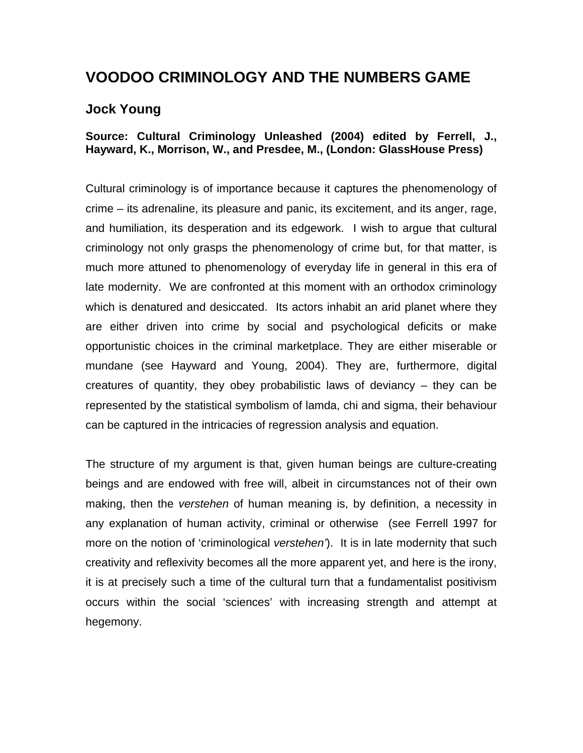# **VOODOO CRIMINOLOGY AND THE NUMBERS GAME**

# **Jock Young**

# **Source: Cultural Criminology Unleashed (2004) edited by Ferrell, J., Hayward, K., Morrison, W., and Presdee, M., (London: GlassHouse Press)**

Cultural criminology is of importance because it captures the phenomenology of crime – its adrenaline, its pleasure and panic, its excitement, and its anger, rage, and humiliation, its desperation and its edgework. I wish to argue that cultural criminology not only grasps the phenomenology of crime but, for that matter, is much more attuned to phenomenology of everyday life in general in this era of late modernity. We are confronted at this moment with an orthodox criminology which is denatured and desiccated. Its actors inhabit an arid planet where they are either driven into crime by social and psychological deficits or make opportunistic choices in the criminal marketplace. They are either miserable or mundane (see Hayward and Young, 2004). They are, furthermore, digital creatures of quantity, they obey probabilistic laws of deviancy – they can be represented by the statistical symbolism of lamda, chi and sigma, their behaviour can be captured in the intricacies of regression analysis and equation.

The structure of my argument is that, given human beings are culture-creating beings and are endowed with free will, albeit in circumstances not of their own making, then the *verstehen* of human meaning is, by definition, a necessity in any explanation of human activity, criminal or otherwise (see Ferrell 1997 for more on the notion of 'criminological *verstehen'*). It is in late modernity that such creativity and reflexivity becomes all the more apparent yet, and here is the irony, it is at precisely such a time of the cultural turn that a fundamentalist positivism occurs within the social 'sciences' with increasing strength and attempt at hegemony.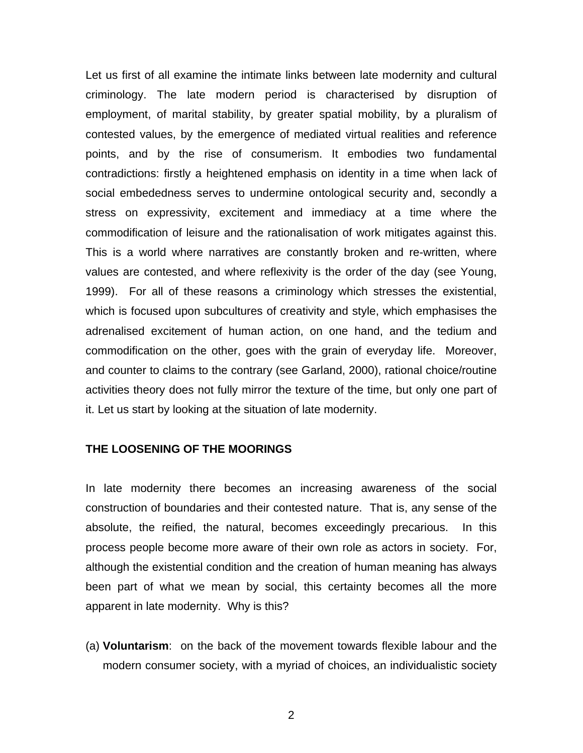Let us first of all examine the intimate links between late modernity and cultural criminology. The late modern period is characterised by disruption of employment, of marital stability, by greater spatial mobility, by a pluralism of contested values, by the emergence of mediated virtual realities and reference points, and by the rise of consumerism. It embodies two fundamental contradictions: firstly a heightened emphasis on identity in a time when lack of social embededness serves to undermine ontological security and, secondly a stress on expressivity, excitement and immediacy at a time where the commodification of leisure and the rationalisation of work mitigates against this. This is a world where narratives are constantly broken and re-written, where values are contested, and where reflexivity is the order of the day (see Young, 1999). For all of these reasons a criminology which stresses the existential, which is focused upon subcultures of creativity and style, which emphasises the adrenalised excitement of human action, on one hand, and the tedium and commodification on the other, goes with the grain of everyday life. Moreover, and counter to claims to the contrary (see Garland, 2000), rational choice/routine activities theory does not fully mirror the texture of the time, but only one part of it. Let us start by looking at the situation of late modernity.

#### **THE LOOSENING OF THE MOORINGS**

In late modernity there becomes an increasing awareness of the social construction of boundaries and their contested nature. That is, any sense of the absolute, the reified, the natural, becomes exceedingly precarious. In this process people become more aware of their own role as actors in society. For, although the existential condition and the creation of human meaning has always been part of what we mean by social, this certainty becomes all the more apparent in late modernity. Why is this?

(a) **Voluntarism**: on the back of the movement towards flexible labour and the modern consumer society, with a myriad of choices, an individualistic society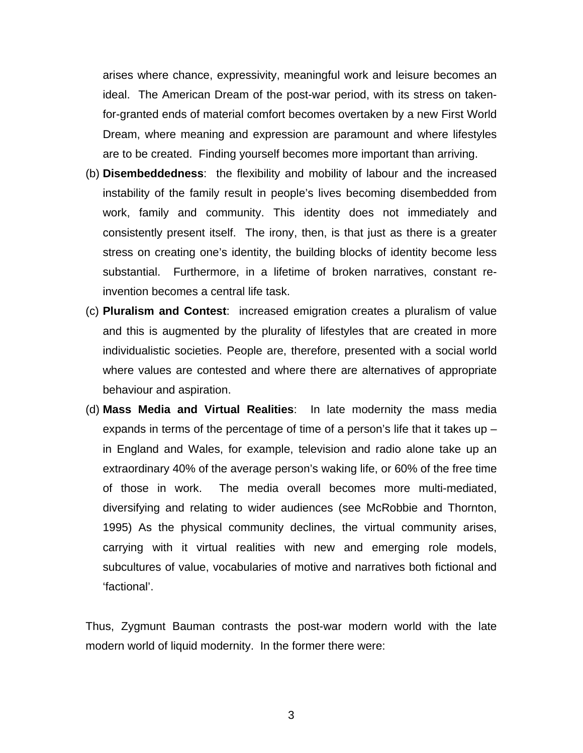arises where chance, expressivity, meaningful work and leisure becomes an ideal. The American Dream of the post-war period, with its stress on takenfor-granted ends of material comfort becomes overtaken by a new First World Dream, where meaning and expression are paramount and where lifestyles are to be created. Finding yourself becomes more important than arriving.

- (b) **Disembeddedness**: the flexibility and mobility of labour and the increased instability of the family result in people's lives becoming disembedded from work, family and community. This identity does not immediately and consistently present itself. The irony, then, is that just as there is a greater stress on creating one's identity, the building blocks of identity become less substantial. Furthermore, in a lifetime of broken narratives, constant reinvention becomes a central life task.
- (c) **Pluralism and Contest**: increased emigration creates a pluralism of value and this is augmented by the plurality of lifestyles that are created in more individualistic societies. People are, therefore, presented with a social world where values are contested and where there are alternatives of appropriate behaviour and aspiration.
- (d) **Mass Media and Virtual Realities**: In late modernity the mass media expands in terms of the percentage of time of a person's life that it takes up  $$ in England and Wales, for example, television and radio alone take up an extraordinary 40% of the average person's waking life, or 60% of the free time of those in work. The media overall becomes more multi-mediated, diversifying and relating to wider audiences (see McRobbie and Thornton, 1995) As the physical community declines, the virtual community arises, carrying with it virtual realities with new and emerging role models, subcultures of value, vocabularies of motive and narratives both fictional and 'factional'.

Thus, Zygmunt Bauman contrasts the post-war modern world with the late modern world of liquid modernity. In the former there were: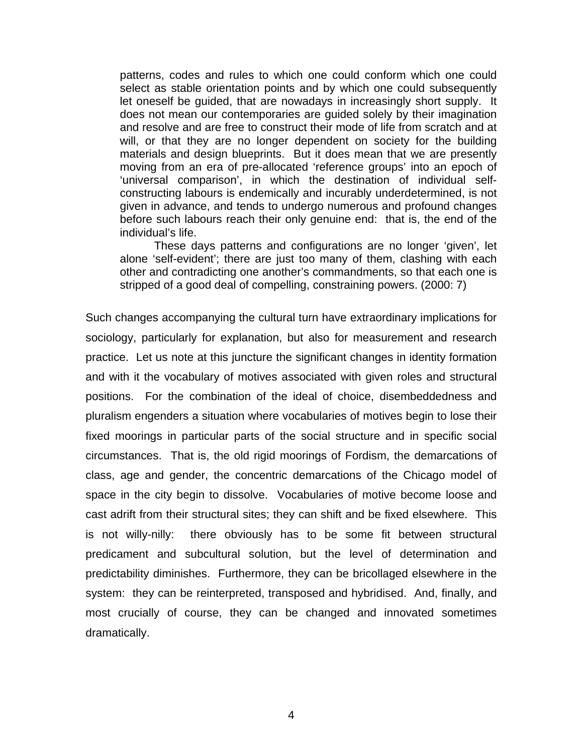patterns, codes and rules to which one could conform which one could select as stable orientation points and by which one could subsequently let oneself be guided, that are nowadays in increasingly short supply. It does not mean our contemporaries are guided solely by their imagination and resolve and are free to construct their mode of life from scratch and at will, or that they are no longer dependent on society for the building materials and design blueprints. But it does mean that we are presently moving from an era of pre-allocated 'reference groups' into an epoch of 'universal comparison', in which the destination of individual selfconstructing labours is endemically and incurably underdetermined, is not given in advance, and tends to undergo numerous and profound changes before such labours reach their only genuine end: that is, the end of the individual's life.

 These days patterns and configurations are no longer 'given', let alone 'self-evident'; there are just too many of them, clashing with each other and contradicting one another's commandments, so that each one is stripped of a good deal of compelling, constraining powers. (2000: 7)

Such changes accompanying the cultural turn have extraordinary implications for sociology, particularly for explanation, but also for measurement and research practice. Let us note at this juncture the significant changes in identity formation and with it the vocabulary of motives associated with given roles and structural positions. For the combination of the ideal of choice, disembeddedness and pluralism engenders a situation where vocabularies of motives begin to lose their fixed moorings in particular parts of the social structure and in specific social circumstances. That is, the old rigid moorings of Fordism, the demarcations of class, age and gender, the concentric demarcations of the Chicago model of space in the city begin to dissolve. Vocabularies of motive become loose and cast adrift from their structural sites; they can shift and be fixed elsewhere. This is not willy-nilly: there obviously has to be some fit between structural predicament and subcultural solution, but the level of determination and predictability diminishes. Furthermore, they can be bricollaged elsewhere in the system: they can be reinterpreted, transposed and hybridised. And, finally, and most crucially of course, they can be changed and innovated sometimes dramatically.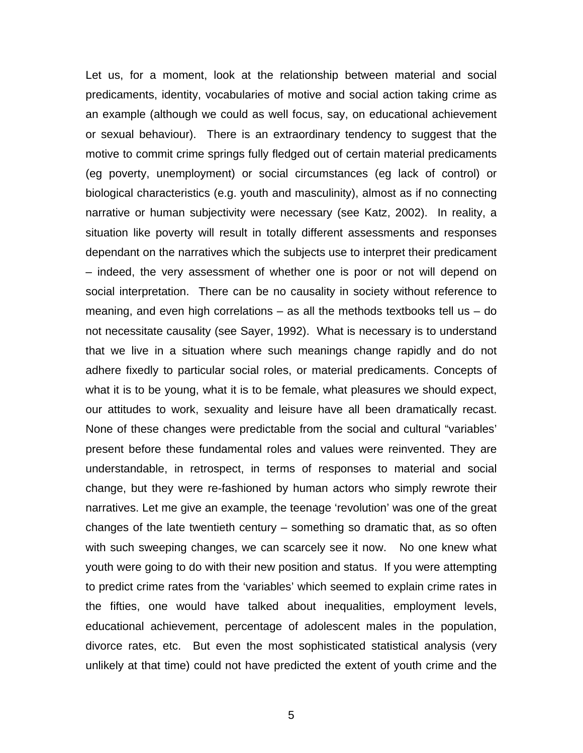Let us, for a moment, look at the relationship between material and social predicaments, identity, vocabularies of motive and social action taking crime as an example (although we could as well focus, say, on educational achievement or sexual behaviour). There is an extraordinary tendency to suggest that the motive to commit crime springs fully fledged out of certain material predicaments (eg poverty, unemployment) or social circumstances (eg lack of control) or biological characteristics (e.g. youth and masculinity), almost as if no connecting narrative or human subjectivity were necessary (see Katz, 2002). In reality, a situation like poverty will result in totally different assessments and responses dependant on the narratives which the subjects use to interpret their predicament – indeed, the very assessment of whether one is poor or not will depend on social interpretation. There can be no causality in society without reference to meaning, and even high correlations  $-$  as all the methods textbooks tell us  $-$  do not necessitate causality (see Sayer, 1992). What is necessary is to understand that we live in a situation where such meanings change rapidly and do not adhere fixedly to particular social roles, or material predicaments. Concepts of what it is to be young, what it is to be female, what pleasures we should expect, our attitudes to work, sexuality and leisure have all been dramatically recast. None of these changes were predictable from the social and cultural "variables' present before these fundamental roles and values were reinvented. They are understandable, in retrospect, in terms of responses to material and social change, but they were re-fashioned by human actors who simply rewrote their narratives. Let me give an example, the teenage 'revolution' was one of the great changes of the late twentieth century – something so dramatic that, as so often with such sweeping changes, we can scarcely see it now. No one knew what youth were going to do with their new position and status. If you were attempting to predict crime rates from the 'variables' which seemed to explain crime rates in the fifties, one would have talked about inequalities, employment levels, educational achievement, percentage of adolescent males in the population, divorce rates, etc. But even the most sophisticated statistical analysis (very unlikely at that time) could not have predicted the extent of youth crime and the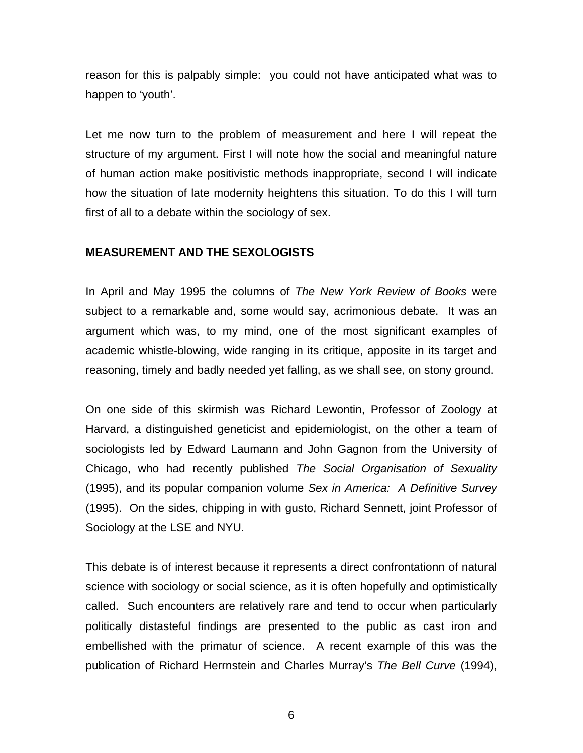reason for this is palpably simple: you could not have anticipated what was to happen to 'youth'.

Let me now turn to the problem of measurement and here I will repeat the structure of my argument. First I will note how the social and meaningful nature of human action make positivistic methods inappropriate, second I will indicate how the situation of late modernity heightens this situation. To do this I will turn first of all to a debate within the sociology of sex.

## **MEASUREMENT AND THE SEXOLOGISTS**

In April and May 1995 the columns of *The New York Review of Books* were subject to a remarkable and, some would say, acrimonious debate. It was an argument which was, to my mind, one of the most significant examples of academic whistle-blowing, wide ranging in its critique, apposite in its target and reasoning, timely and badly needed yet falling, as we shall see, on stony ground.

On one side of this skirmish was Richard Lewontin, Professor of Zoology at Harvard, a distinguished geneticist and epidemiologist, on the other a team of sociologists led by Edward Laumann and John Gagnon from the University of Chicago, who had recently published *The Social Organisation of Sexuality* (1995), and its popular companion volume *Sex in America: A Definitive Survey* (1995). On the sides, chipping in with gusto, Richard Sennett, joint Professor of Sociology at the LSE and NYU.

This debate is of interest because it represents a direct confrontationn of natural science with sociology or social science, as it is often hopefully and optimistically called. Such encounters are relatively rare and tend to occur when particularly politically distasteful findings are presented to the public as cast iron and embellished with the primatur of science. A recent example of this was the publication of Richard Herrnstein and Charles Murray's *The Bell Curve* (1994),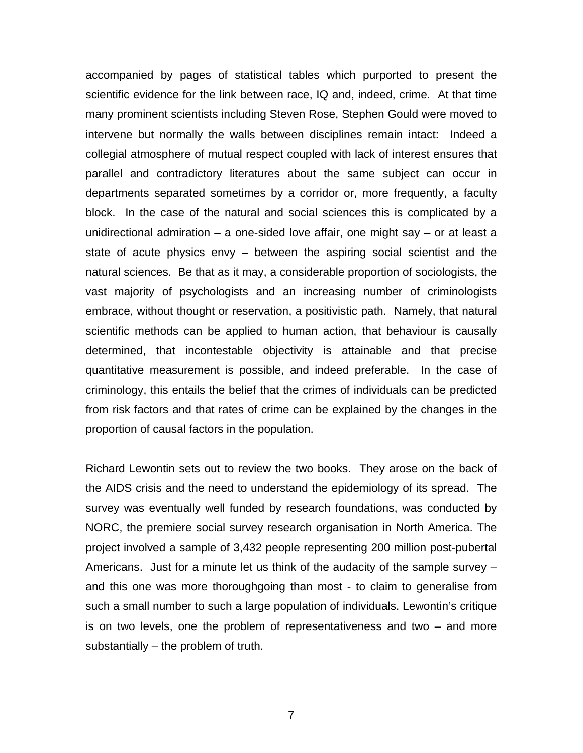accompanied by pages of statistical tables which purported to present the scientific evidence for the link between race, IQ and, indeed, crime. At that time many prominent scientists including Steven Rose, Stephen Gould were moved to intervene but normally the walls between disciplines remain intact: Indeed a collegial atmosphere of mutual respect coupled with lack of interest ensures that parallel and contradictory literatures about the same subject can occur in departments separated sometimes by a corridor or, more frequently, a faculty block. In the case of the natural and social sciences this is complicated by a unidirectional admiration – a one-sided love affair, one might say – or at least a state of acute physics envy – between the aspiring social scientist and the natural sciences. Be that as it may, a considerable proportion of sociologists, the vast majority of psychologists and an increasing number of criminologists embrace, without thought or reservation, a positivistic path. Namely, that natural scientific methods can be applied to human action, that behaviour is causally determined, that incontestable objectivity is attainable and that precise quantitative measurement is possible, and indeed preferable. In the case of criminology, this entails the belief that the crimes of individuals can be predicted from risk factors and that rates of crime can be explained by the changes in the proportion of causal factors in the population.

Richard Lewontin sets out to review the two books. They arose on the back of the AIDS crisis and the need to understand the epidemiology of its spread. The survey was eventually well funded by research foundations, was conducted by NORC, the premiere social survey research organisation in North America. The project involved a sample of 3,432 people representing 200 million post-pubertal Americans. Just for a minute let us think of the audacity of the sample survey – and this one was more thoroughgoing than most - to claim to generalise from such a small number to such a large population of individuals. Lewontin's critique is on two levels, one the problem of representativeness and two – and more substantially – the problem of truth.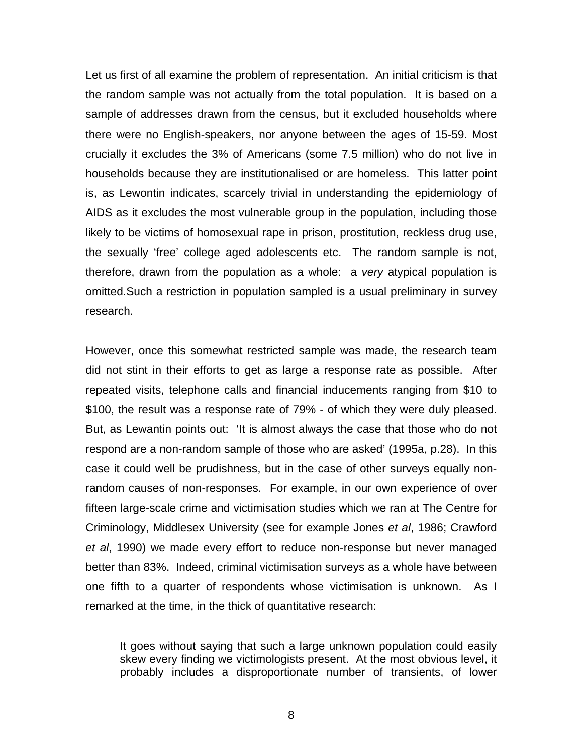Let us first of all examine the problem of representation. An initial criticism is that the random sample was not actually from the total population. It is based on a sample of addresses drawn from the census, but it excluded households where there were no English-speakers, nor anyone between the ages of 15-59. Most crucially it excludes the 3% of Americans (some 7.5 million) who do not live in households because they are institutionalised or are homeless. This latter point is, as Lewontin indicates, scarcely trivial in understanding the epidemiology of AIDS as it excludes the most vulnerable group in the population, including those likely to be victims of homosexual rape in prison, prostitution, reckless drug use, the sexually 'free' college aged adolescents etc. The random sample is not, therefore, drawn from the population as a whole: a *very* atypical population is omitted.Such a restriction in population sampled is a usual preliminary in survey research.

However, once this somewhat restricted sample was made, the research team did not stint in their efforts to get as large a response rate as possible. After repeated visits, telephone calls and financial inducements ranging from \$10 to \$100, the result was a response rate of 79% - of which they were duly pleased. But, as Lewantin points out: 'It is almost always the case that those who do not respond are a non-random sample of those who are asked' (1995a, p.28). In this case it could well be prudishness, but in the case of other surveys equally nonrandom causes of non-responses. For example, in our own experience of over fifteen large-scale crime and victimisation studies which we ran at The Centre for Criminology, Middlesex University (see for example Jones *et al*, 1986; Crawford *et al*, 1990) we made every effort to reduce non-response but never managed better than 83%. Indeed, criminal victimisation surveys as a whole have between one fifth to a quarter of respondents whose victimisation is unknown. As I remarked at the time, in the thick of quantitative research:

It goes without saying that such a large unknown population could easily skew every finding we victimologists present. At the most obvious level, it probably includes a disproportionate number of transients, of lower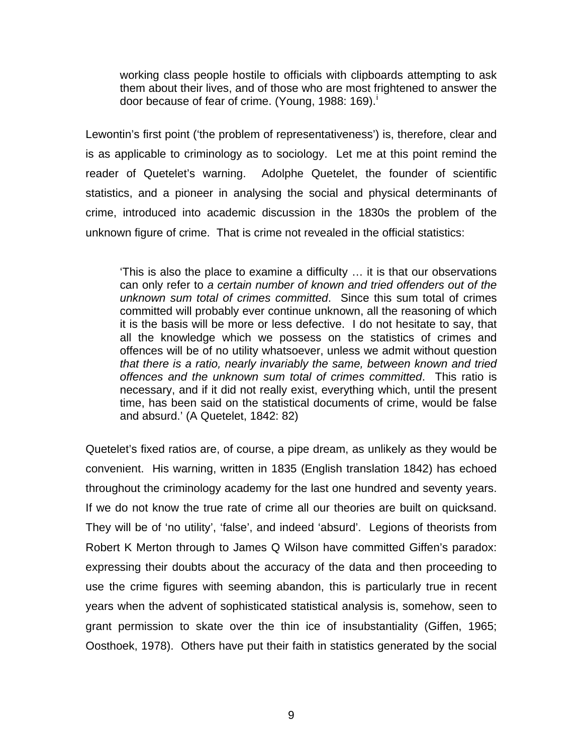working class people hostile to officials with clipboards attempting to ask them about their lives, and of those who are most frightened to answer the door because of fear of cr[i](#page-25-0)me. (Young, 1988: 169).

Lewontin's first point ('the problem of representativeness') is, therefore, clear and is as applicable to criminology as to sociology. Let me at this point remind the reader of Quetelet's warning. Adolphe Quetelet, the founder of scientific statistics, and a pioneer in analysing the social and physical determinants of crime, introduced into academic discussion in the 1830s the problem of the unknown figure of crime. That is crime not revealed in the official statistics:

'This is also the place to examine a difficulty … it is that our observations can only refer to *a certain number of known and tried offenders out of the unknown sum total of crimes committed*. Since this sum total of crimes committed will probably ever continue unknown, all the reasoning of which it is the basis will be more or less defective. I do not hesitate to say, that all the knowledge which we possess on the statistics of crimes and offences will be of no utility whatsoever, unless we admit without question *that there is a ratio, nearly invariably the same, between known and tried offences and the unknown sum total of crimes committed*. This ratio is necessary, and if it did not really exist, everything which, until the present time, has been said on the statistical documents of crime, would be false and absurd.' (A Quetelet, 1842: 82)

Quetelet's fixed ratios are, of course, a pipe dream, as unlikely as they would be convenient. His warning, written in 1835 (English translation 1842) has echoed throughout the criminology academy for the last one hundred and seventy years. If we do not know the true rate of crime all our theories are built on quicksand. They will be of 'no utility', 'false', and indeed 'absurd'. Legions of theorists from Robert K Merton through to James Q Wilson have committed Giffen's paradox: expressing their doubts about the accuracy of the data and then proceeding to use the crime figures with seeming abandon, this is particularly true in recent years when the advent of sophisticated statistical analysis is, somehow, seen to grant permission to skate over the thin ice of insubstantiality (Giffen, 1965; Oosthoek, 1978). Others have put their faith in statistics generated by the social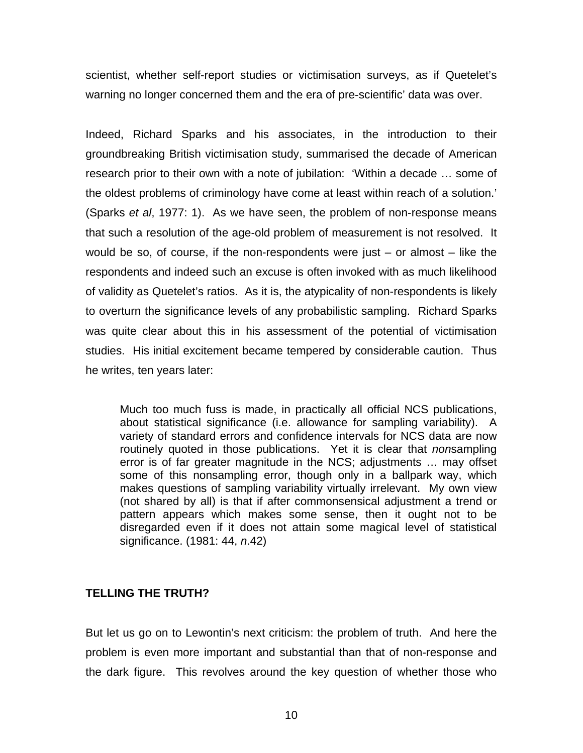scientist, whether self-report studies or victimisation surveys, as if Quetelet's warning no longer concerned them and the era of pre-scientific' data was over.

Indeed, Richard Sparks and his associates, in the introduction to their groundbreaking British victimisation study, summarised the decade of American research prior to their own with a note of jubilation: 'Within a decade … some of the oldest problems of criminology have come at least within reach of a solution.' (Sparks *et al*, 1977: 1). As we have seen, the problem of non-response means that such a resolution of the age-old problem of measurement is not resolved. It would be so, of course, if the non-respondents were just – or almost – like the respondents and indeed such an excuse is often invoked with as much likelihood of validity as Quetelet's ratios. As it is, the atypicality of non-respondents is likely to overturn the significance levels of any probabilistic sampling. Richard Sparks was quite clear about this in his assessment of the potential of victimisation studies. His initial excitement became tempered by considerable caution. Thus he writes, ten years later:

Much too much fuss is made, in practically all official NCS publications, about statistical significance (i.e. allowance for sampling variability). A variety of standard errors and confidence intervals for NCS data are now routinely quoted in those publications. Yet it is clear that *non*sampling error is of far greater magnitude in the NCS; adjustments … may offset some of this nonsampling error, though only in a ballpark way, which makes questions of sampling variability virtually irrelevant. My own view (not shared by all) is that if after commonsensical adjustment a trend or pattern appears which makes some sense, then it ought not to be disregarded even if it does not attain some magical level of statistical significance. (1981: 44, *n*.42)

# **TELLING THE TRUTH?**

But let us go on to Lewontin's next criticism: the problem of truth. And here the problem is even more important and substantial than that of non-response and the dark figure. This revolves around the key question of whether those who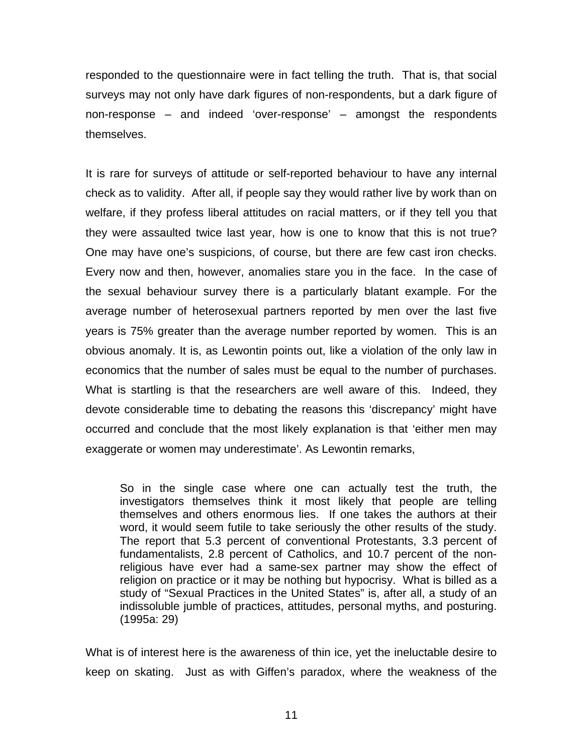responded to the questionnaire were in fact telling the truth. That is, that social surveys may not only have dark figures of non-respondents, but a dark figure of non-response – and indeed 'over-response' – amongst the respondents themselves.

It is rare for surveys of attitude or self-reported behaviour to have any internal check as to validity. After all, if people say they would rather live by work than on welfare, if they profess liberal attitudes on racial matters, or if they tell you that they were assaulted twice last year, how is one to know that this is not true? One may have one's suspicions, of course, but there are few cast iron checks. Every now and then, however, anomalies stare you in the face. In the case of the sexual behaviour survey there is a particularly blatant example. For the average number of heterosexual partners reported by men over the last five years is 75% greater than the average number reported by women. This is an obvious anomaly. It is, as Lewontin points out, like a violation of the only law in economics that the number of sales must be equal to the number of purchases. What is startling is that the researchers are well aware of this. Indeed, they devote considerable time to debating the reasons this 'discrepancy' might have occurred and conclude that the most likely explanation is that 'either men may exaggerate or women may underestimate'. As Lewontin remarks,

So in the single case where one can actually test the truth, the investigators themselves think it most likely that people are telling themselves and others enormous lies. If one takes the authors at their word, it would seem futile to take seriously the other results of the study. The report that 5.3 percent of conventional Protestants, 3.3 percent of fundamentalists, 2.8 percent of Catholics, and 10.7 percent of the nonreligious have ever had a same-sex partner may show the effect of religion on practice or it may be nothing but hypocrisy. What is billed as a study of "Sexual Practices in the United States" is, after all, a study of an indissoluble jumble of practices, attitudes, personal myths, and posturing. (1995a: 29)

What is of interest here is the awareness of thin ice, yet the ineluctable desire to keep on skating. Just as with Giffen's paradox, where the weakness of the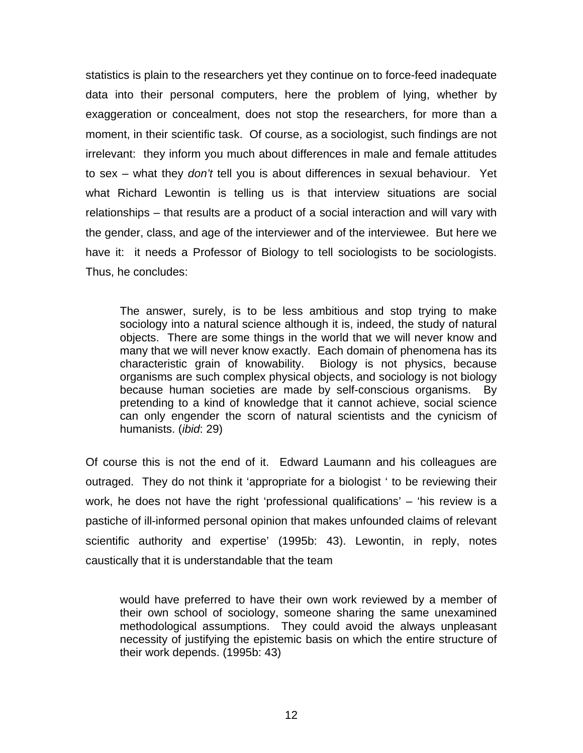statistics is plain to the researchers yet they continue on to force-feed inadequate data into their personal computers, here the problem of lying, whether by exaggeration or concealment, does not stop the researchers, for more than a moment, in their scientific task. Of course, as a sociologist, such findings are not irrelevant: they inform you much about differences in male and female attitudes to sex – what they *don't* tell you is about differences in sexual behaviour. Yet what Richard Lewontin is telling us is that interview situations are social relationships – that results are a product of a social interaction and will vary with the gender, class, and age of the interviewer and of the interviewee. But here we have it: it needs a Professor of Biology to tell sociologists to be sociologists. Thus, he concludes:

The answer, surely, is to be less ambitious and stop trying to make sociology into a natural science although it is, indeed, the study of natural objects. There are some things in the world that we will never know and many that we will never know exactly. Each domain of phenomena has its characteristic grain of knowability. Biology is not physics, because organisms are such complex physical objects, and sociology is not biology because human societies are made by self-conscious organisms. By pretending to a kind of knowledge that it cannot achieve, social science can only engender the scorn of natural scientists and the cynicism of humanists. (*ibid*: 29)

Of course this is not the end of it. Edward Laumann and his colleagues are outraged. They do not think it 'appropriate for a biologist ' to be reviewing their work, he does not have the right 'professional qualifications' – 'his review is a pastiche of ill-informed personal opinion that makes unfounded claims of relevant scientific authority and expertise' (1995b: 43). Lewontin, in reply, notes caustically that it is understandable that the team

would have preferred to have their own work reviewed by a member of their own school of sociology, someone sharing the same unexamined methodological assumptions. They could avoid the always unpleasant necessity of justifying the epistemic basis on which the entire structure of their work depends. (1995b: 43)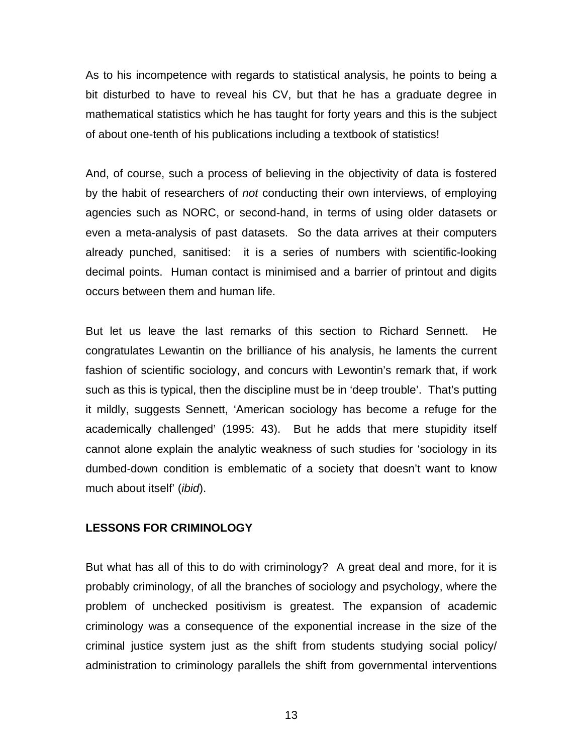As to his incompetence with regards to statistical analysis, he points to being a bit disturbed to have to reveal his CV, but that he has a graduate degree in mathematical statistics which he has taught for forty years and this is the subject of about one-tenth of his publications including a textbook of statistics!

And, of course, such a process of believing in the objectivity of data is fostered by the habit of researchers of *not* conducting their own interviews, of employing agencies such as NORC, or second-hand, in terms of using older datasets or even a meta-analysis of past datasets. So the data arrives at their computers already punched, sanitised: it is a series of numbers with scientific-looking decimal points. Human contact is minimised and a barrier of printout and digits occurs between them and human life.

But let us leave the last remarks of this section to Richard Sennett. He congratulates Lewantin on the brilliance of his analysis, he laments the current fashion of scientific sociology, and concurs with Lewontin's remark that, if work such as this is typical, then the discipline must be in 'deep trouble'. That's putting it mildly, suggests Sennett, 'American sociology has become a refuge for the academically challenged' (1995: 43). But he adds that mere stupidity itself cannot alone explain the analytic weakness of such studies for 'sociology in its dumbed-down condition is emblematic of a society that doesn't want to know much about itself' (*ibid*).

#### **LESSONS FOR CRIMINOLOGY**

But what has all of this to do with criminology? A great deal and more, for it is probably criminology, of all the branches of sociology and psychology, where the problem of unchecked positivism is greatest. The expansion of academic criminology was a consequence of the exponential increase in the size of the criminal justice system just as the shift from students studying social policy/ administration to criminology parallels the shift from governmental interventions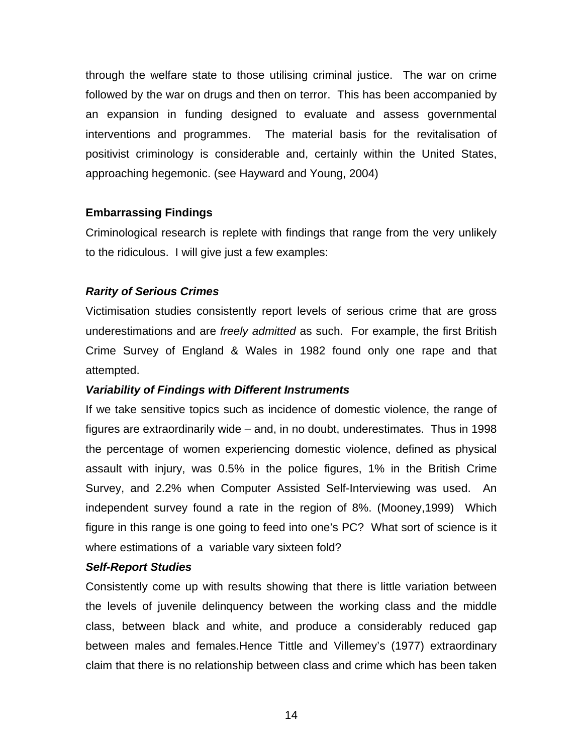through the welfare state to those utilising criminal justice. The war on crime followed by the war on drugs and then on terror. This has been accompanied by an expansion in funding designed to evaluate and assess governmental interventions and programmes. The material basis for the revitalisation of positivist criminology is considerable and, certainly within the United States, approaching hegemonic. (see Hayward and Young, 2004)

# **Embarrassing Findings**

Criminological research is replete with findings that range from the very unlikely to the ridiculous. I will give just a few examples:

## *Rarity of Serious Crimes*

Victimisation studies consistently report levels of serious crime that are gross underestimations and are *freely admitted* as such. For example, the first British Crime Survey of England & Wales in 1982 found only one rape and that attempted.

#### *Variability of Findings with Different Instruments*

If we take sensitive topics such as incidence of domestic violence, the range of figures are extraordinarily wide – and, in no doubt, underestimates. Thus in 1998 the percentage of women experiencing domestic violence, defined as physical assault with injury, was 0.5% in the police figures, 1% in the British Crime Survey, and 2.2% when Computer Assisted Self-Interviewing was used. An independent survey found a rate in the region of 8%. (Mooney,1999) Which figure in this range is one going to feed into one's PC? What sort of science is it where estimations of a variable vary sixteen fold?

#### *Self-Report Studies*

Consistently come up with results showing that there is little variation between the levels of juvenile delinquency between the working class and the middle class, between black and white, and produce a considerably reduced gap between males and females.Hence Tittle and Villemey's (1977) extraordinary claim that there is no relationship between class and crime which has been taken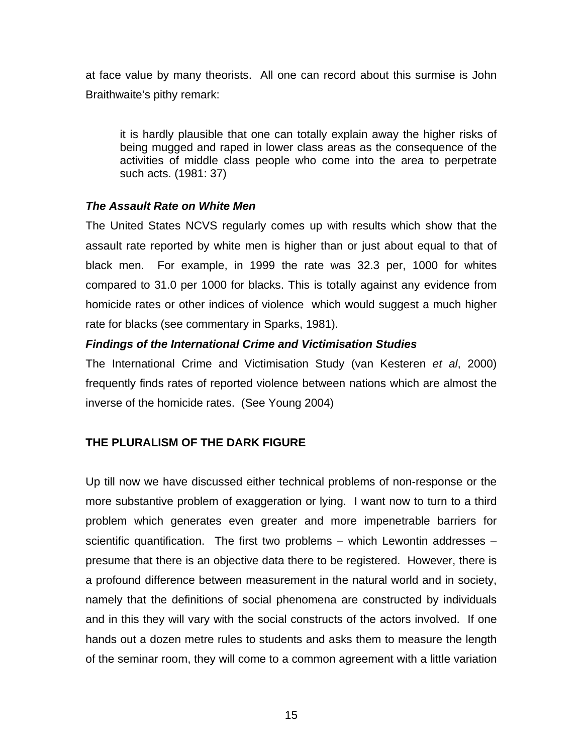at face value by many theorists. All one can record about this surmise is John Braithwaite's pithy remark:

it is hardly plausible that one can totally explain away the higher risks of being mugged and raped in lower class areas as the consequence of the activities of middle class people who come into the area to perpetrate such acts. (1981: 37)

# *The Assault Rate on White Men*

The United States NCVS regularly comes up with results which show that the assault rate reported by white men is higher than or just about equal to that of black men. For example, in 1999 the rate was 32.3 per, 1000 for whites compared to 31.0 per 1000 for blacks. This is totally against any evidence from homicide rates or other indices of violence which would suggest a much higher rate for blacks (see commentary in Sparks, 1981).

#### *Findings of the International Crime and Victimisation Studies*

The International Crime and Victimisation Study (van Kesteren *et al*, 2000) frequently finds rates of reported violence between nations which are almost the inverse of the homicide rates. (See Young 2004)

# **THE PLURALISM OF THE DARK FIGURE**

Up till now we have discussed either technical problems of non-response or the more substantive problem of exaggeration or lying. I want now to turn to a third problem which generates even greater and more impenetrable barriers for scientific quantification. The first two problems – which Lewontin addresses – presume that there is an objective data there to be registered. However, there is a profound difference between measurement in the natural world and in society, namely that the definitions of social phenomena are constructed by individuals and in this they will vary with the social constructs of the actors involved. If one hands out a dozen metre rules to students and asks them to measure the length of the seminar room, they will come to a common agreement with a little variation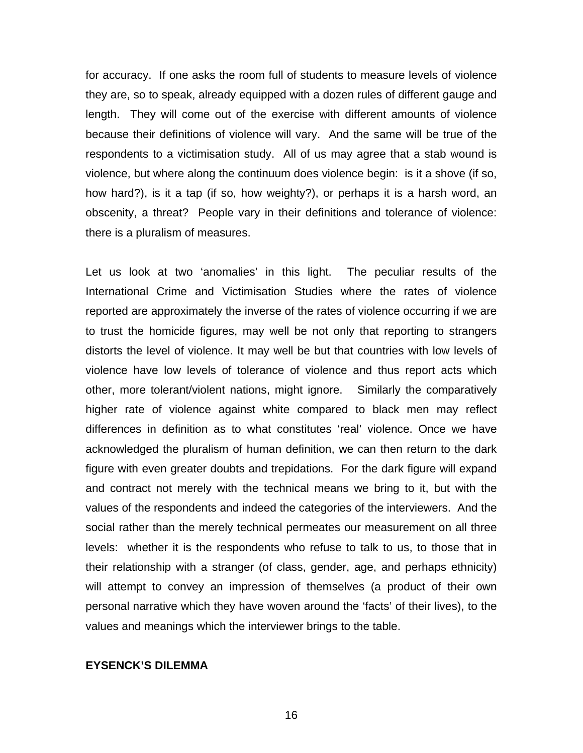for accuracy. If one asks the room full of students to measure levels of violence they are, so to speak, already equipped with a dozen rules of different gauge and length. They will come out of the exercise with different amounts of violence because their definitions of violence will vary. And the same will be true of the respondents to a victimisation study. All of us may agree that a stab wound is violence, but where along the continuum does violence begin: is it a shove (if so, how hard?), is it a tap (if so, how weighty?), or perhaps it is a harsh word, an obscenity, a threat? People vary in their definitions and tolerance of violence: there is a pluralism of measures.

Let us look at two 'anomalies' in this light. The peculiar results of the International Crime and Victimisation Studies where the rates of violence reported are approximately the inverse of the rates of violence occurring if we are to trust the homicide figures, may well be not only that reporting to strangers distorts the level of violence. It may well be but that countries with low levels of violence have low levels of tolerance of violence and thus report acts which other, more tolerant/violent nations, might ignore. Similarly the comparatively higher rate of violence against white compared to black men may reflect differences in definition as to what constitutes 'real' violence. Once we have acknowledged the pluralism of human definition, we can then return to the dark figure with even greater doubts and trepidations. For the dark figure will expand and contract not merely with the technical means we bring to it, but with the values of the respondents and indeed the categories of the interviewers. And the social rather than the merely technical permeates our measurement on all three levels: whether it is the respondents who refuse to talk to us, to those that in their relationship with a stranger (of class, gender, age, and perhaps ethnicity) will attempt to convey an impression of themselves (a product of their own personal narrative which they have woven around the 'facts' of their lives), to the values and meanings which the interviewer brings to the table.

#### **EYSENCK'S DILEMMA**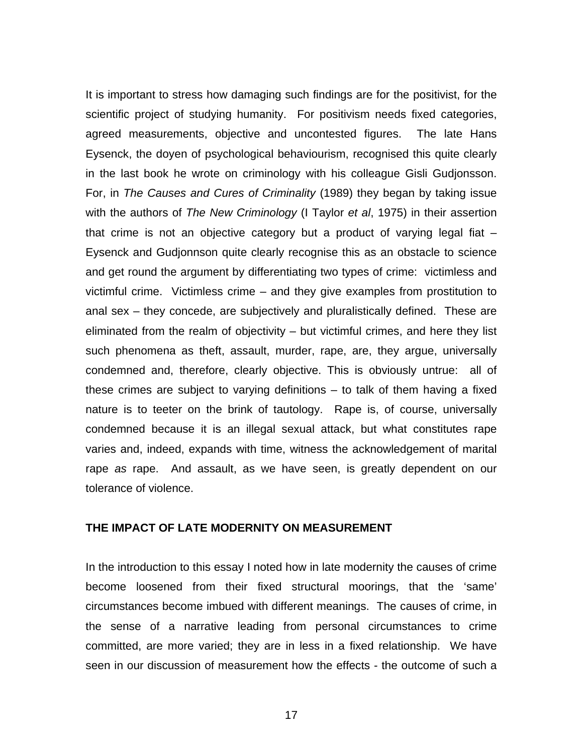It is important to stress how damaging such findings are for the positivist, for the scientific project of studying humanity. For positivism needs fixed categories, agreed measurements, objective and uncontested figures. The late Hans Eysenck, the doyen of psychological behaviourism, recognised this quite clearly in the last book he wrote on criminology with his colleague Gisli Gudjonsson. For, in *The Causes and Cures of Criminality* (1989) they began by taking issue with the authors of *The New Criminology* (I Taylor *et al*, 1975) in their assertion that crime is not an objective category but a product of varying legal fiat – Eysenck and Gudjonnson quite clearly recognise this as an obstacle to science and get round the argument by differentiating two types of crime: victimless and victimful crime. Victimless crime – and they give examples from prostitution to anal sex – they concede, are subjectively and pluralistically defined. These are eliminated from the realm of objectivity – but victimful crimes, and here they list such phenomena as theft, assault, murder, rape, are, they argue, universally condemned and, therefore, clearly objective. This is obviously untrue: all of these crimes are subject to varying definitions – to talk of them having a fixed nature is to teeter on the brink of tautology. Rape is, of course, universally condemned because it is an illegal sexual attack, but what constitutes rape varies and, indeed, expands with time, witness the acknowledgement of marital rape *as* rape. And assault, as we have seen, is greatly dependent on our tolerance of violence.

#### **THE IMPACT OF LATE MODERNITY ON MEASUREMENT**

In the introduction to this essay I noted how in late modernity the causes of crime become loosened from their fixed structural moorings, that the 'same' circumstances become imbued with different meanings. The causes of crime, in the sense of a narrative leading from personal circumstances to crime committed, are more varied; they are in less in a fixed relationship. We have seen in our discussion of measurement how the effects - the outcome of such a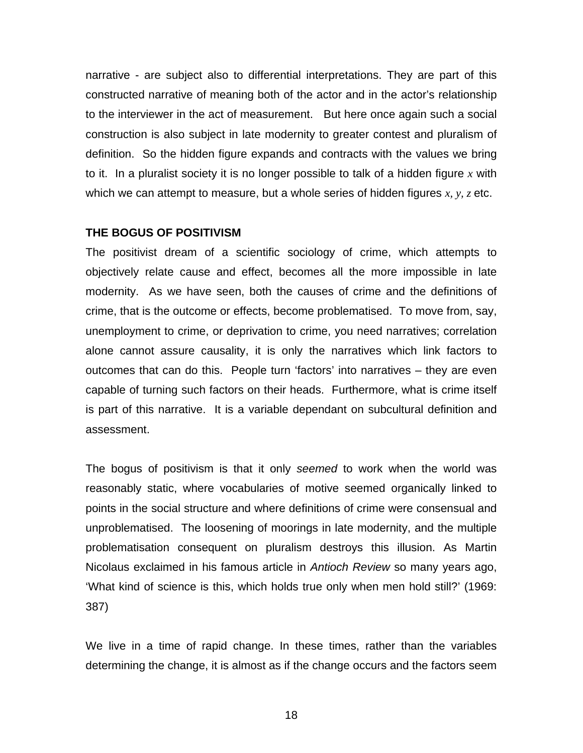narrative - are subject also to differential interpretations. They are part of this constructed narrative of meaning both of the actor and in the actor's relationship to the interviewer in the act of measurement. But here once again such a social construction is also subject in late modernity to greater contest and pluralism of definition. So the hidden figure expands and contracts with the values we bring to it. In a pluralist society it is no longer possible to talk of a hidden figure *x* with which we can attempt to measure, but a whole series of hidden figures *x, y, z* etc.

# **THE BOGUS OF POSITIVISM**

The positivist dream of a scientific sociology of crime, which attempts to objectively relate cause and effect, becomes all the more impossible in late modernity. As we have seen, both the causes of crime and the definitions of crime, that is the outcome or effects, become problematised. To move from, say, unemployment to crime, or deprivation to crime, you need narratives; correlation alone cannot assure causality, it is only the narratives which link factors to outcomes that can do this. People turn 'factors' into narratives – they are even capable of turning such factors on their heads. Furthermore, what is crime itself is part of this narrative. It is a variable dependant on subcultural definition and assessment.

The bogus of positivism is that it only *seemed* to work when the world was reasonably static, where vocabularies of motive seemed organically linked to points in the social structure and where definitions of crime were consensual and unproblematised. The loosening of moorings in late modernity, and the multiple problematisation consequent on pluralism destroys this illusion. As Martin Nicolaus exclaimed in his famous article in *Antioch Review* so many years ago, 'What kind of science is this, which holds true only when men hold still?' (1969: 387)

We live in a time of rapid change. In these times, rather than the variables determining the change, it is almost as if the change occurs and the factors seem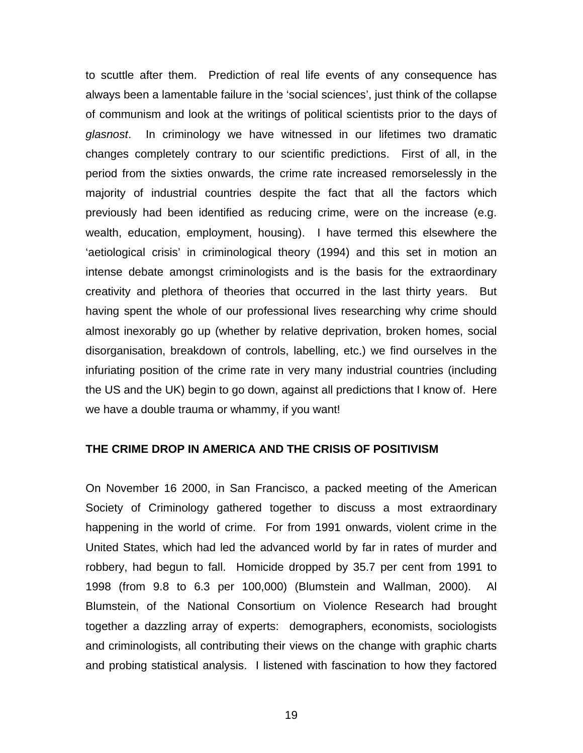to scuttle after them. Prediction of real life events of any consequence has always been a lamentable failure in the 'social sciences', just think of the collapse of communism and look at the writings of political scientists prior to the days of *glasnost*. In criminology we have witnessed in our lifetimes two dramatic changes completely contrary to our scientific predictions. First of all, in the period from the sixties onwards, the crime rate increased remorselessly in the majority of industrial countries despite the fact that all the factors which previously had been identified as reducing crime, were on the increase (e.g. wealth, education, employment, housing). I have termed this elsewhere the 'aetiological crisis' in criminological theory (1994) and this set in motion an intense debate amongst criminologists and is the basis for the extraordinary creativity and plethora of theories that occurred in the last thirty years. But having spent the whole of our professional lives researching why crime should almost inexorably go up (whether by relative deprivation, broken homes, social disorganisation, breakdown of controls, labelling, etc.) we find ourselves in the infuriating position of the crime rate in very many industrial countries (including the US and the UK) begin to go down, against all predictions that I know of. Here we have a double trauma or whammy, if you want!

#### **THE CRIME DROP IN AMERICA AND THE CRISIS OF POSITIVISM**

On November 16 2000, in San Francisco, a packed meeting of the American Society of Criminology gathered together to discuss a most extraordinary happening in the world of crime. For from 1991 onwards, violent crime in the United States, which had led the advanced world by far in rates of murder and robbery, had begun to fall. Homicide dropped by 35.7 per cent from 1991 to 1998 (from 9.8 to 6.3 per 100,000) (Blumstein and Wallman, 2000). Al Blumstein, of the National Consortium on Violence Research had brought together a dazzling array of experts: demographers, economists, sociologists and criminologists, all contributing their views on the change with graphic charts and probing statistical analysis. I listened with fascination to how they factored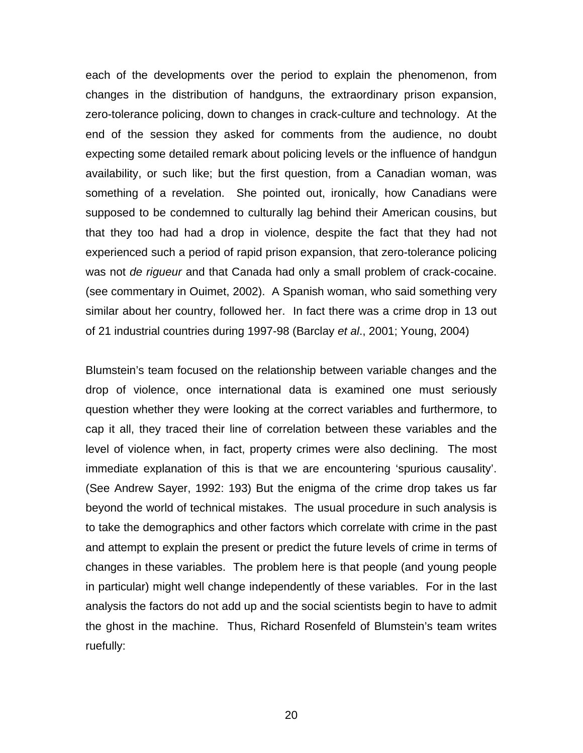each of the developments over the period to explain the phenomenon, from changes in the distribution of handguns, the extraordinary prison expansion, zero-tolerance policing, down to changes in crack-culture and technology. At the end of the session they asked for comments from the audience, no doubt expecting some detailed remark about policing levels or the influence of handgun availability, or such like; but the first question, from a Canadian woman, was something of a revelation. She pointed out, ironically, how Canadians were supposed to be condemned to culturally lag behind their American cousins, but that they too had had a drop in violence, despite the fact that they had not experienced such a period of rapid prison expansion, that zero-tolerance policing was not *de rigueur* and that Canada had only a small problem of crack-cocaine. (see commentary in Ouimet, 2002). A Spanish woman, who said something very similar about her country, followed her. In fact there was a crime drop in 13 out of 21 industrial countries during 1997-98 (Barclay *et al*., 2001; Young, 2004)

Blumstein's team focused on the relationship between variable changes and the drop of violence, once international data is examined one must seriously question whether they were looking at the correct variables and furthermore, to cap it all, they traced their line of correlation between these variables and the level of violence when, in fact, property crimes were also declining. The most immediate explanation of this is that we are encountering 'spurious causality'. (See Andrew Sayer, 1992: 193) But the enigma of the crime drop takes us far beyond the world of technical mistakes. The usual procedure in such analysis is to take the demographics and other factors which correlate with crime in the past and attempt to explain the present or predict the future levels of crime in terms of changes in these variables. The problem here is that people (and young people in particular) might well change independently of these variables. For in the last analysis the factors do not add up and the social scientists begin to have to admit the ghost in the machine. Thus, Richard Rosenfeld of Blumstein's team writes ruefully: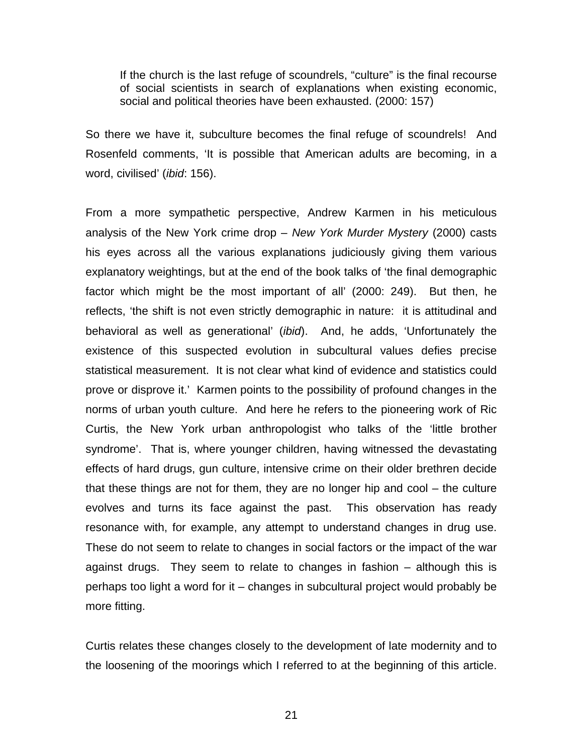If the church is the last refuge of scoundrels, "culture" is the final recourse of social scientists in search of explanations when existing economic, social and political theories have been exhausted. (2000: 157)

So there we have it, subculture becomes the final refuge of scoundrels! And Rosenfeld comments, 'It is possible that American adults are becoming, in a word, civilised' (*ibid*: 156).

From a more sympathetic perspective, Andrew Karmen in his meticulous analysis of the New York crime drop – *New York Murder Mystery* (2000) casts his eyes across all the various explanations judiciously giving them various explanatory weightings, but at the end of the book talks of 'the final demographic factor which might be the most important of all' (2000: 249). But then, he reflects, 'the shift is not even strictly demographic in nature: it is attitudinal and behavioral as well as generational' (*ibid*). And, he adds, 'Unfortunately the existence of this suspected evolution in subcultural values defies precise statistical measurement. It is not clear what kind of evidence and statistics could prove or disprove it.' Karmen points to the possibility of profound changes in the norms of urban youth culture. And here he refers to the pioneering work of Ric Curtis, the New York urban anthropologist who talks of the 'little brother syndrome'. That is, where younger children, having witnessed the devastating effects of hard drugs, gun culture, intensive crime on their older brethren decide that these things are not for them, they are no longer hip and cool – the culture evolves and turns its face against the past. This observation has ready resonance with, for example, any attempt to understand changes in drug use. These do not seem to relate to changes in social factors or the impact of the war against drugs. They seem to relate to changes in fashion – although this is perhaps too light a word for it – changes in subcultural project would probably be more fitting.

Curtis relates these changes closely to the development of late modernity and to the loosening of the moorings which I referred to at the beginning of this article.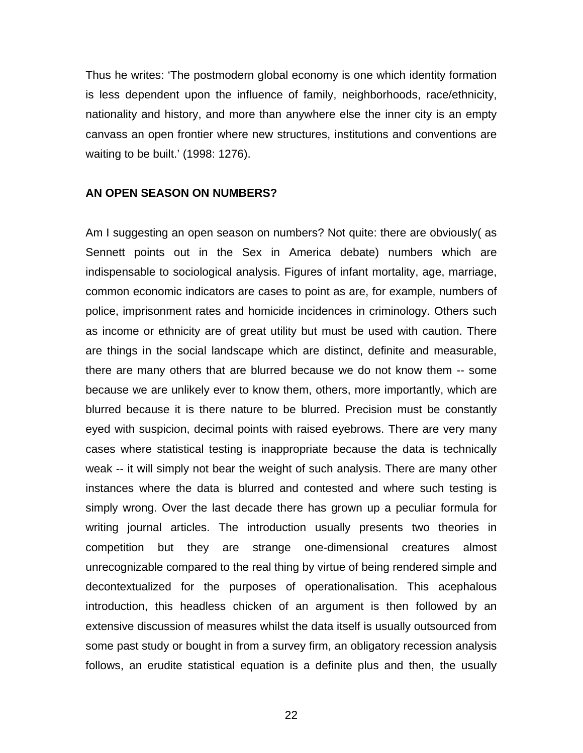Thus he writes: 'The postmodern global economy is one which identity formation is less dependent upon the influence of family, neighborhoods, race/ethnicity, nationality and history, and more than anywhere else the inner city is an empty canvass an open frontier where new structures, institutions and conventions are waiting to be built.' (1998: 1276).

#### **AN OPEN SEASON ON NUMBERS?**

Am I suggesting an open season on numbers? Not quite: there are obviously( as Sennett points out in the Sex in America debate) numbers which are indispensable to sociological analysis. Figures of infant mortality, age, marriage, common economic indicators are cases to point as are, for example, numbers of police, imprisonment rates and homicide incidences in criminology. Others such as income or ethnicity are of great utility but must be used with caution. There are things in the social landscape which are distinct, definite and measurable, there are many others that are blurred because we do not know them -- some because we are unlikely ever to know them, others, more importantly, which are blurred because it is there nature to be blurred. Precision must be constantly eyed with suspicion, decimal points with raised eyebrows. There are very many cases where statistical testing is inappropriate because the data is technically weak -- it will simply not bear the weight of such analysis. There are many other instances where the data is blurred and contested and where such testing is simply wrong. Over the last decade there has grown up a peculiar formula for writing journal articles. The introduction usually presents two theories in competition but they are strange one-dimensional creatures almost unrecognizable compared to the real thing by virtue of being rendered simple and decontextualized for the purposes of operationalisation. This acephalous introduction, this headless chicken of an argument is then followed by an extensive discussion of measures whilst the data itself is usually outsourced from some past study or bought in from a survey firm, an obligatory recession analysis follows, an erudite statistical equation is a definite plus and then, the usually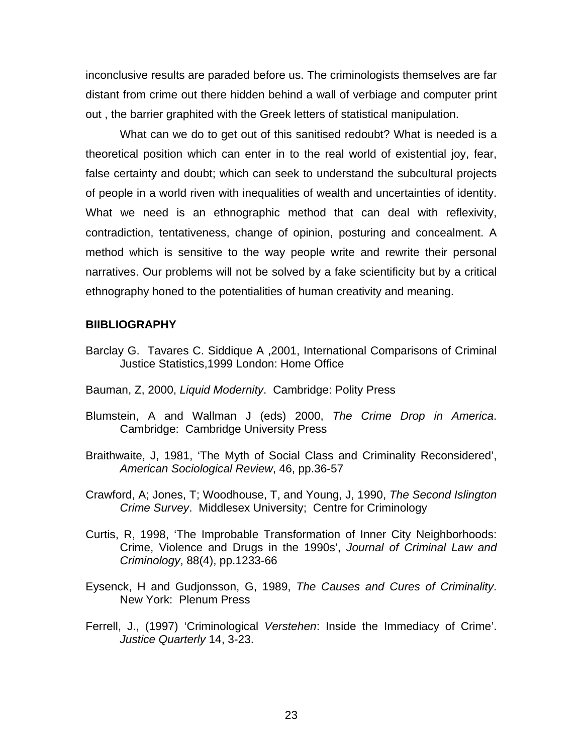inconclusive results are paraded before us. The criminologists themselves are far distant from crime out there hidden behind a wall of verbiage and computer print out , the barrier graphited with the Greek letters of statistical manipulation.

 What can we do to get out of this sanitised redoubt? What is needed is a theoretical position which can enter in to the real world of existential joy, fear, false certainty and doubt; which can seek to understand the subcultural projects of people in a world riven with inequalities of wealth and uncertainties of identity. What we need is an ethnographic method that can deal with reflexivity, contradiction, tentativeness, change of opinion, posturing and concealment. A method which is sensitive to the way people write and rewrite their personal narratives. Our problems will not be solved by a fake scientificity but by a critical ethnography honed to the potentialities of human creativity and meaning.

#### **BIIBLIOGRAPHY**

- Barclay G. Tavares C. Siddique A ,2001, International Comparisons of Criminal Justice Statistics,1999 London: Home Office
- Bauman, Z, 2000, *Liquid Modernity*. Cambridge: Polity Press
- Blumstein, A and Wallman J (eds) 2000, *The Crime Drop in America*. Cambridge: Cambridge University Press
- Braithwaite, J, 1981, 'The Myth of Social Class and Criminality Reconsidered', *American Sociological Review*, 46, pp.36-57
- Crawford, A; Jones, T; Woodhouse, T, and Young, J, 1990, *The Second Islington Crime Survey*. Middlesex University; Centre for Criminology
- Curtis, R, 1998, 'The Improbable Transformation of Inner City Neighborhoods: Crime, Violence and Drugs in the 1990s', *Journal of Criminal Law and Criminology*, 88(4), pp.1233-66
- Eysenck, H and Gudjonsson, G, 1989, *The Causes and Cures of Criminality*. New York: Plenum Press
- Ferrell, J., (1997) 'Criminological *Verstehen*: Inside the Immediacy of Crime'. *Justice Quarterly* 14, 3-23.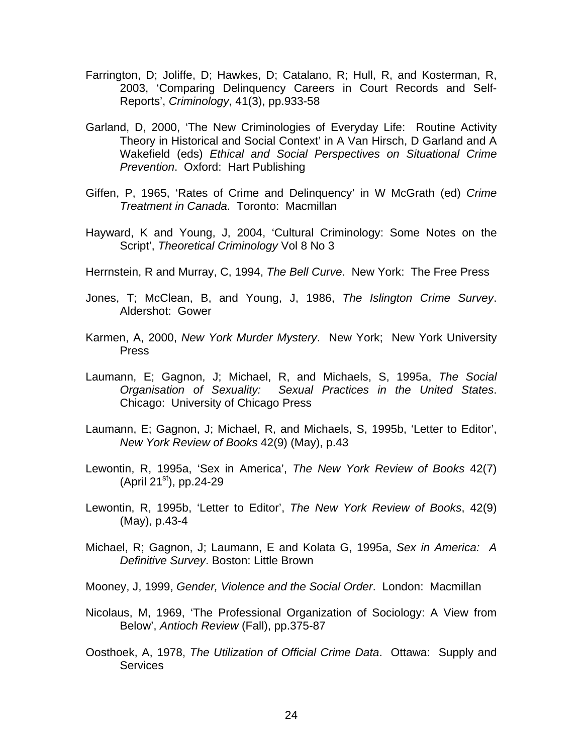- Farrington, D; Joliffe, D; Hawkes, D; Catalano, R; Hull, R, and Kosterman, R, 2003, 'Comparing Delinquency Careers in Court Records and Self-Reports', *Criminology*, 41(3), pp.933-58
- Garland, D, 2000, 'The New Criminologies of Everyday Life: Routine Activity Theory in Historical and Social Context' in A Van Hirsch, D Garland and A Wakefield (eds) *Ethical and Social Perspectives on Situational Crime Prevention*. Oxford: Hart Publishing
- Giffen, P, 1965, 'Rates of Crime and Delinquency' in W McGrath (ed) *Crime Treatment in Canada*. Toronto: Macmillan
- Hayward, K and Young, J, 2004, 'Cultural Criminology: Some Notes on the Script', *Theoretical Criminology* Vol 8 No 3
- Herrnstein, R and Murray, C, 1994, *The Bell Curve*. New York: The Free Press
- Jones, T; McClean, B, and Young, J, 1986, *The Islington Crime Survey*. Aldershot: Gower
- Karmen, A, 2000, *New York Murder Mystery*. New York; New York University Press
- Laumann, E; Gagnon, J; Michael, R, and Michaels, S, 1995a, *The Social Organisation of Sexuality: Sexual Practices in the United States*. Chicago: University of Chicago Press
- Laumann, E; Gagnon, J; Michael, R, and Michaels, S, 1995b, 'Letter to Editor', *New York Review of Books* 42(9) (May), p.43
- Lewontin, R, 1995a, 'Sex in America', *The New York Review of Books* 42(7)  $(April 21<sup>st</sup>)$ , pp.24-29
- Lewontin, R, 1995b, 'Letter to Editor', *The New York Review of Books*, 42(9) (May), p.43-4
- Michael, R; Gagnon, J; Laumann, E and Kolata G, 1995a, *Sex in America: A Definitive Survey*. Boston: Little Brown
- Mooney, J, 1999, *Gender, Violence and the Social Order*. London: Macmillan
- Nicolaus, M, 1969, 'The Professional Organization of Sociology: A View from Below', *Antioch Review* (Fall), pp.375-87
- Oosthoek, A, 1978, *The Utilization of Official Crime Data*. Ottawa: Supply and **Services**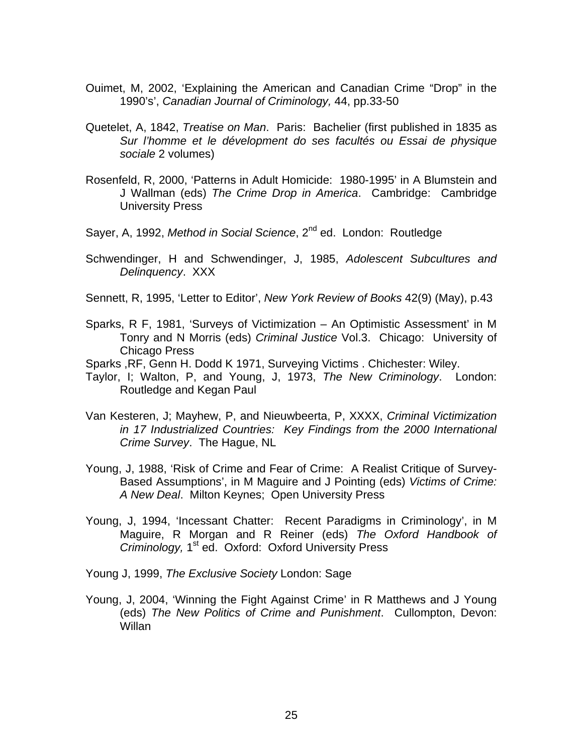- Ouimet, M, 2002, 'Explaining the American and Canadian Crime "Drop" in the 1990's', *Canadian Journal of Criminology,* 44, pp.33-50
- Quetelet, A, 1842, *Treatise on Man*. Paris: Bachelier (first published in 1835 as *Sur l'homme et le dévelopment do ses facultés ou Essai de physique sociale* 2 volumes)
- Rosenfeld, R, 2000, 'Patterns in Adult Homicide: 1980-1995' in A Blumstein and J Wallman (eds) *The Crime Drop in America*. Cambridge: Cambridge University Press
- Sayer, A, 1992, Method in Social Science, 2<sup>nd</sup> ed. London: Routledge
- Schwendinger, H and Schwendinger, J, 1985, *Adolescent Subcultures and Delinquency*. XXX
- Sennett, R, 1995, 'Letter to Editor', *New York Review of Books* 42(9) (May), p.43
- Sparks, R F, 1981, 'Surveys of Victimization An Optimistic Assessment' in M Tonry and N Morris (eds) *Criminal Justice* Vol.3. Chicago: University of Chicago Press
- Sparks ,RF, Genn H. Dodd K 1971, Surveying Victims . Chichester: Wiley.
- Taylor, I; Walton, P, and Young, J, 1973, *The New Criminology*. London: Routledge and Kegan Paul
- Van Kesteren, J; Mayhew, P, and Nieuwbeerta, P, XXXX, *Criminal Victimization in 17 Industrialized Countries: Key Findings from the 2000 International Crime Survey*. The Hague, NL
- Young, J, 1988, 'Risk of Crime and Fear of Crime: A Realist Critique of Survey-Based Assumptions', in M Maguire and J Pointing (eds) *Victims of Crime: A New Deal*. Milton Keynes; Open University Press
- Young, J, 1994, 'Incessant Chatter: Recent Paradigms in Criminology', in M Maguire, R Morgan and R Reiner (eds) *The Oxford Handbook of Criminology,* 1<sup>st</sup> ed. Oxford: Oxford University Press
- Young J, 1999, *The Exclusive Society* London: Sage
- Young, J, 2004, 'Winning the Fight Against Crime' in R Matthews and J Young (eds) *The New Politics of Crime and Punishment*. Cullompton, Devon: Willan